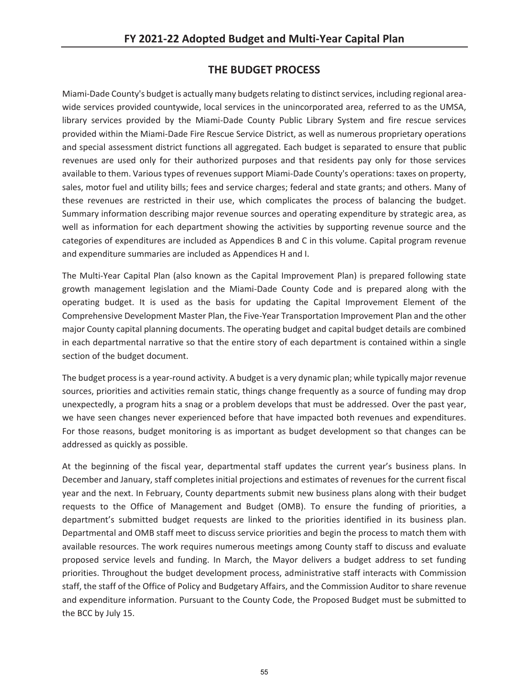## **THE BUDGET PROCESS**

Miami-Dade County's budget is actually many budgets relating to distinct services, including regional areawide services provided countywide, local services in the unincorporated area, referred to as the UMSA, library services provided by the Miami-Dade County Public Library System and fire rescue services provided within the Miami-Dade Fire Rescue Service District, as well as numerous proprietary operations and special assessment district functions all aggregated. Each budget is separated to ensure that public revenues are used only for their authorized purposes and that residents pay only for those services available to them. Various types of revenues support Miami-Dade County's operations: taxes on property, sales, motor fuel and utility bills; fees and service charges; federal and state grants; and others. Many of these revenues are restricted in their use, which complicates the process of balancing the budget. Summary information describing major revenue sources and operating expenditure by strategic area, as well as information for each department showing the activities by supporting revenue source and the categories of expenditures are included as Appendices B and C in this volume. Capital program revenue and expenditure summaries are included as Appendices H and I.

The Multi-Year Capital Plan (also known as the Capital Improvement Plan) is prepared following state growth management legislation and the Miami-Dade County Code and is prepared along with the operating budget. It is used as the basis for updating the Capital Improvement Element of the Comprehensive Development Master Plan, the Five-Year Transportation Improvement Plan and the other major County capital planning documents. The operating budget and capital budget details are combined in each departmental narrative so that the entire story of each department is contained within a single section of the budget document.

The budget process is a year-round activity. A budget is a very dynamic plan; while typically major revenue sources, priorities and activities remain static, things change frequently as a source of funding may drop unexpectedly, a program hits a snag or a problem develops that must be addressed. Over the past year, we have seen changes never experienced before that have impacted both revenues and expenditures. For those reasons, budget monitoring is as important as budget development so that changes can be addressed as quickly as possible.

At the beginning of the fiscal year, departmental staff updates the current year's business plans. In December and January, staff completes initial projections and estimates of revenues for the current fiscal year and the next. In February, County departments submit new business plans along with their budget requests to the Office of Management and Budget (OMB). To ensure the funding of priorities, a department's submitted budget requests are linked to the priorities identified in its business plan. Departmental and OMB staff meet to discuss service priorities and begin the process to match them with available resources. The work requires numerous meetings among County staff to discuss and evaluate proposed service levels and funding. In March, the Mayor delivers a budget address to set funding priorities. Throughout the budget development process, administrative staff interacts with Commission staff, the staff of the Office of Policy and Budgetary Affairs, and the Commission Auditor to share revenue and expenditure information. Pursuant to the County Code, the Proposed Budget must be submitted to the BCC by July 15.